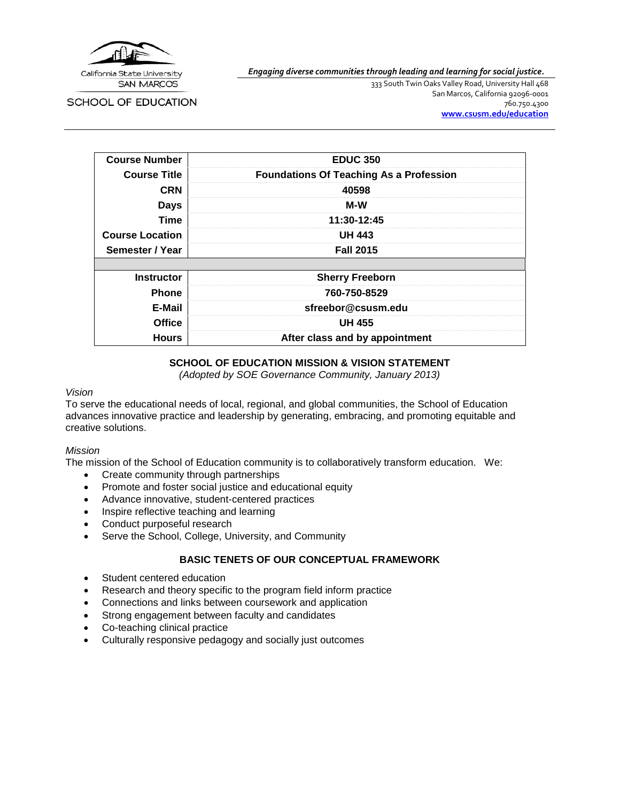

*Engaging diverse communities through leading and learning for social justice.*

SCHOOL OF EDUCATION

333 South Twin Oaks Valley Road, University Hall 468 San Marcos, California 92096-0001 760.750.4300 **[www.csusm.edu/education](http://www.csusm.edu/education)**

| <b>Course Number</b>   | <b>EDUC 350</b>                                |  |
|------------------------|------------------------------------------------|--|
| <b>Course Title</b>    | <b>Foundations Of Teaching As a Profession</b> |  |
| <b>CRN</b>             | 40598                                          |  |
| <b>Days</b>            | M-W                                            |  |
| <b>Time</b>            | 11:30-12:45                                    |  |
| <b>Course Location</b> | <b>UH 443</b>                                  |  |
| Semester / Year        | <b>Fall 2015</b>                               |  |
|                        |                                                |  |
| <b>Instructor</b>      | <b>Sherry Freeborn</b>                         |  |
| <b>Phone</b>           | 760-750-8529                                   |  |
| E-Mail                 | sfreebor@csusm.edu                             |  |
| <b>Office</b>          | <b>UH 455</b>                                  |  |
| <b>Hours</b>           | After class and by appointment                 |  |

# **SCHOOL OF EDUCATION MISSION & VISION STATEMENT**

*(Adopted by SOE Governance Community, January 2013)*

### *Vision*

To serve the educational needs of local, regional, and global communities, the School of Education advances innovative practice and leadership by generating, embracing, and promoting equitable and creative solutions.

### *Mission*

The mission of the School of Education community is to collaboratively transform education. We:

- Create community through partnerships
- Promote and foster social justice and educational equity
- Advance innovative, student-centered practices
- Inspire reflective teaching and learning
- Conduct purposeful research
- Serve the School, College, University, and Community

# **BASIC TENETS OF OUR CONCEPTUAL FRAMEWORK**

- Student centered education
- Research and theory specific to the program field inform practice
- Connections and links between coursework and application
- Strong engagement between faculty and candidates
- Co-teaching clinical practice
- Culturally responsive pedagogy and socially just outcomes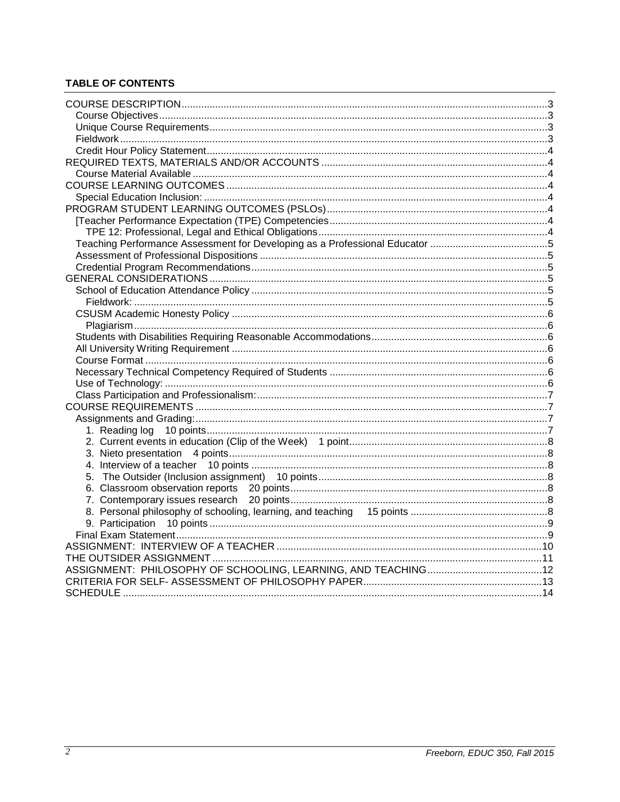# **TABLE OF CONTENTS**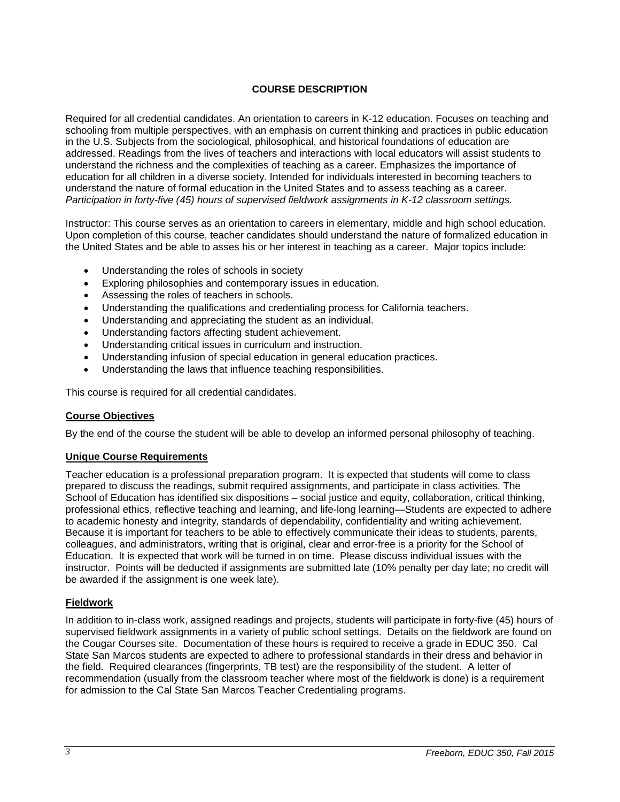# **COURSE DESCRIPTION**

<span id="page-2-0"></span>Required for all credential candidates. An orientation to careers in K-12 education. Focuses on teaching and schooling from multiple perspectives, with an emphasis on current thinking and practices in public education in the U.S. Subjects from the sociological, philosophical, and historical foundations of education are addressed. Readings from the lives of teachers and interactions with local educators will assist students to understand the richness and the complexities of teaching as a career. Emphasizes the importance of education for all children in a diverse society. Intended for individuals interested in becoming teachers to understand the nature of formal education in the United States and to assess teaching as a career. *Participation in forty-five (45) hours of supervised fieldwork assignments in K-12 classroom settings.*

Instructor: This course serves as an orientation to careers in elementary, middle and high school education. Upon completion of this course, teacher candidates should understand the nature of formalized education in the United States and be able to asses his or her interest in teaching as a career. Major topics include:

- Understanding the roles of schools in society
- Exploring philosophies and contemporary issues in education.
- Assessing the roles of teachers in schools.
- Understanding the qualifications and credentialing process for California teachers.
- Understanding and appreciating the student as an individual.
- Understanding factors affecting student achievement.
- Understanding critical issues in curriculum and instruction.
- Understanding infusion of special education in general education practices.
- Understanding the laws that influence teaching responsibilities.

This course is required for all credential candidates.

# <span id="page-2-1"></span>**Course Objectives**

By the end of the course the student will be able to develop an informed personal philosophy of teaching.

# <span id="page-2-2"></span>**Unique Course Requirements**

Teacher education is a professional preparation program. It is expected that students will come to class prepared to discuss the readings, submit required assignments, and participate in class activities. The School of Education has identified six dispositions – social justice and equity, collaboration, critical thinking, professional ethics, reflective teaching and learning, and life-long learning—Students are expected to adhere to academic honesty and integrity, standards of dependability, confidentiality and writing achievement. Because it is important for teachers to be able to effectively communicate their ideas to students, parents, colleagues, and administrators, writing that is original, clear and error-free is a priority for the School of Education. It is expected that work will be turned in on time. Please discuss individual issues with the instructor. Points will be deducted if assignments are submitted late (10% penalty per day late; no credit will be awarded if the assignment is one week late).

# <span id="page-2-3"></span>**Fieldwork**

In addition to in-class work, assigned readings and projects, students will participate in forty-five (45) hours of supervised fieldwork assignments in a variety of public school settings. Details on the fieldwork are found on the Cougar Courses site. Documentation of these hours is required to receive a grade in EDUC 350. Cal State San Marcos students are expected to adhere to professional standards in their dress and behavior in the field. Required clearances (fingerprints, TB test) are the responsibility of the student. A letter of recommendation (usually from the classroom teacher where most of the fieldwork is done) is a requirement for admission to the Cal State San Marcos Teacher Credentialing programs.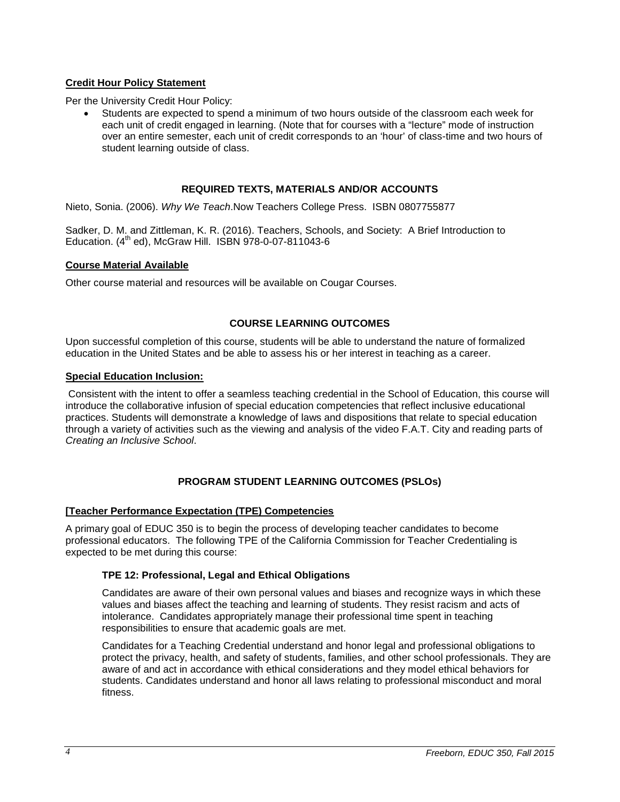# <span id="page-3-0"></span>**Credit Hour Policy Statement**

Per the University Credit Hour Policy:

• Students are expected to spend a minimum of two hours outside of the classroom each week for each unit of credit engaged in learning. (Note that for courses with a "lecture" mode of instruction over an entire semester, each unit of credit corresponds to an 'hour' of class-time and two hours of student learning outside of class.

# **REQUIRED TEXTS, MATERIALS AND/OR ACCOUNTS**

<span id="page-3-1"></span>Nieto, Sonia. (2006). *Why We Teach*.Now Teachers College Press. ISBN 0807755877

Sadker, D. M. and Zittleman, K. R. (2016). Teachers, Schools, and Society: A Brief Introduction to Education.  $(4^{th}$  ed), McGraw Hill. ISBN 978-0-07-811043-6

# <span id="page-3-2"></span>**Course Material Available**

Other course material and resources will be available on Cougar Courses.

# **COURSE LEARNING OUTCOMES**

<span id="page-3-3"></span>Upon successful completion of this course, students will be able to understand the nature of formalized education in the United States and be able to assess his or her interest in teaching as a career.

# <span id="page-3-4"></span>**Special Education Inclusion:**

Consistent with the intent to offer a seamless teaching credential in the School of Education, this course will introduce the collaborative infusion of special education competencies that reflect inclusive educational practices. Students will demonstrate a knowledge of laws and dispositions that relate to special education through a variety of activities such as the viewing and analysis of the video F.A.T. City and reading parts of *Creating an Inclusive School*.

# **PROGRAM STUDENT LEARNING OUTCOMES (PSLOs)**

# <span id="page-3-6"></span><span id="page-3-5"></span>**[Teacher Performance Expectation (TPE) Competencies**

A primary goal of EDUC 350 is to begin the process of developing teacher candidates to become professional educators. The following TPE of the California Commission for Teacher Credentialing is expected to be met during this course:

# <span id="page-3-7"></span>**TPE 12: Professional, Legal and Ethical Obligations**

Candidates are aware of their own personal values and biases and recognize ways in which these values and biases affect the teaching and learning of students. They resist racism and acts of intolerance. Candidates appropriately manage their professional time spent in teaching responsibilities to ensure that academic goals are met.

Candidates for a Teaching Credential understand and honor legal and professional obligations to protect the privacy, health, and safety of students, families, and other school professionals. They are aware of and act in accordance with ethical considerations and they model ethical behaviors for students. Candidates understand and honor all laws relating to professional misconduct and moral fitness.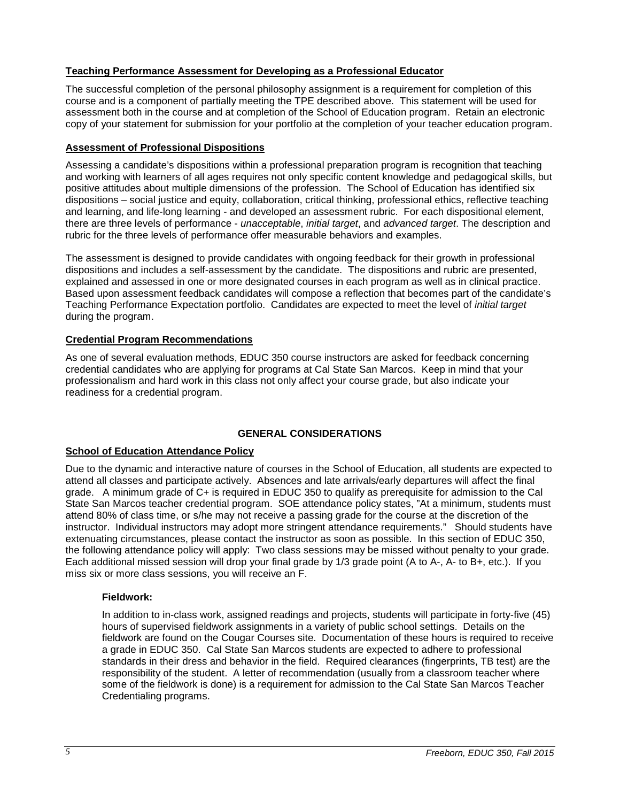# <span id="page-4-0"></span>**Teaching Performance Assessment for Developing as a Professional Educator**

The successful completion of the personal philosophy assignment is a requirement for completion of this course and is a component of partially meeting the TPE described above. This statement will be used for assessment both in the course and at completion of the School of Education program. Retain an electronic copy of your statement for submission for your portfolio at the completion of your teacher education program.

# <span id="page-4-1"></span>**Assessment of Professional Dispositions**

Assessing a candidate's dispositions within a professional preparation program is recognition that teaching and working with learners of all ages requires not only specific content knowledge and pedagogical skills, but positive attitudes about multiple dimensions of the profession. The School of Education has identified six dispositions – social justice and equity, collaboration, critical thinking, professional ethics, reflective teaching and learning, and life-long learning - and developed an assessment rubric. For each dispositional element, there are three levels of performance - *unacceptable*, *initial target*, and *advanced target*. The description and rubric for the three levels of performance offer measurable behaviors and examples.

The assessment is designed to provide candidates with ongoing feedback for their growth in professional dispositions and includes a self-assessment by the candidate. The dispositions and rubric are presented, explained and assessed in one or more designated courses in each program as well as in clinical practice. Based upon assessment feedback candidates will compose a reflection that becomes part of the candidate's Teaching Performance Expectation portfolio. Candidates are expected to meet the level of *initial target* during the program.

# <span id="page-4-2"></span>**Credential Program Recommendations**

As one of several evaluation methods, EDUC 350 course instructors are asked for feedback concerning credential candidates who are applying for programs at Cal State San Marcos. Keep in mind that your professionalism and hard work in this class not only affect your course grade, but also indicate your readiness for a credential program.

# **GENERAL CONSIDERATIONS**

# <span id="page-4-4"></span><span id="page-4-3"></span>**School of Education Attendance Policy**

Due to the dynamic and interactive nature of courses in the School of Education, all students are expected to attend all classes and participate actively. Absences and late arrivals/early departures will affect the final grade. A minimum grade of C+ is required in EDUC 350 to qualify as prerequisite for admission to the Cal State San Marcos teacher credential program. SOE attendance policy states, "At a minimum, students must attend 80% of class time, or s/he may not receive a passing grade for the course at the discretion of the instructor. Individual instructors may adopt more stringent attendance requirements." Should students have extenuating circumstances, please contact the instructor as soon as possible. In this section of EDUC 350, the following attendance policy will apply: Two class sessions may be missed without penalty to your grade. Each additional missed session will drop your final grade by 1/3 grade point (A to A-, A- to B+, etc.). If you miss six or more class sessions, you will receive an F.

# <span id="page-4-5"></span>**Fieldwork:**

In addition to in-class work, assigned readings and projects, students will participate in forty-five (45) hours of supervised fieldwork assignments in a variety of public school settings. Details on the fieldwork are found on the Cougar Courses site. Documentation of these hours is required to receive a grade in EDUC 350. Cal State San Marcos students are expected to adhere to professional standards in their dress and behavior in the field. Required clearances (fingerprints, TB test) are the responsibility of the student. A letter of recommendation (usually from a classroom teacher where some of the fieldwork is done) is a requirement for admission to the Cal State San Marcos Teacher Credentialing programs.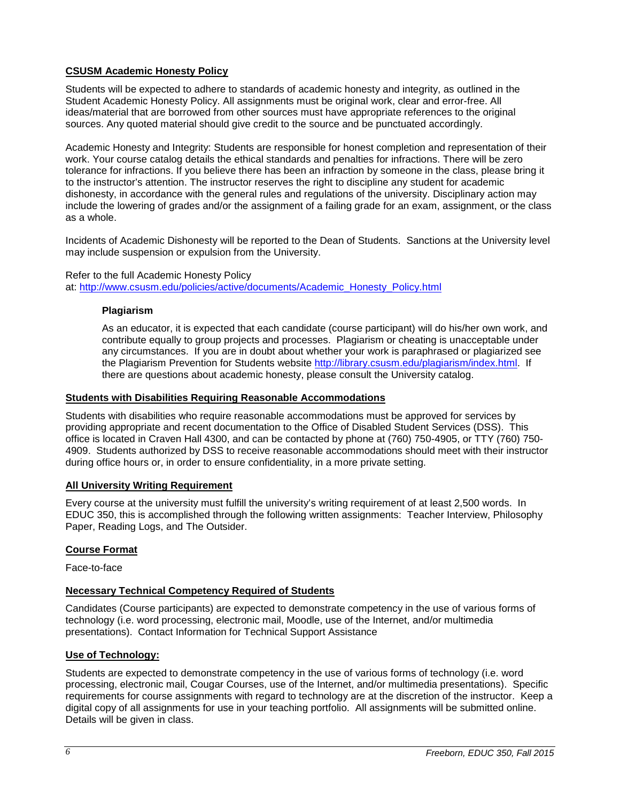# <span id="page-5-0"></span>**CSUSM Academic Honesty Policy**

Students will be expected to adhere to standards of academic honesty and integrity, as outlined in the Student Academic Honesty Policy. All assignments must be original work, clear and error-free. All ideas/material that are borrowed from other sources must have appropriate references to the original sources. Any quoted material should give credit to the source and be punctuated accordingly.

Academic Honesty and Integrity: Students are responsible for honest completion and representation of their work. Your course catalog details the ethical standards and penalties for infractions. There will be zero tolerance for infractions. If you believe there has been an infraction by someone in the class, please bring it to the instructor's attention. The instructor reserves the right to discipline any student for academic dishonesty, in accordance with the general rules and regulations of the university. Disciplinary action may include the lowering of grades and/or the assignment of a failing grade for an exam, assignment, or the class as a whole.

Incidents of Academic Dishonesty will be reported to the Dean of Students. Sanctions at the University level may include suspension or expulsion from the University.

<span id="page-5-1"></span>Refer to the full Academic Honesty Policy at: [http://www.csusm.edu/policies/active/documents/Academic\\_Honesty\\_Policy.html](http://www.csusm.edu/policies/active/documents/Academic_Honesty_Policy.html)

### **Plagiarism**

As an educator, it is expected that each candidate (course participant) will do his/her own work, and contribute equally to group projects and processes. Plagiarism or cheating is unacceptable under any circumstances. If you are in doubt about whether your work is paraphrased or plagiarized see the Plagiarism Prevention for Students website [http://library.csusm.edu/plagiarism/index.html.](http://library.csusm.edu/plagiarism/index.html) If there are questions about academic honesty, please consult the University catalog.

### <span id="page-5-2"></span>**Students with Disabilities Requiring Reasonable Accommodations**

Students with disabilities who require reasonable accommodations must be approved for services by providing appropriate and recent documentation to the Office of Disabled Student Services (DSS). This office is located in Craven Hall 4300, and can be contacted by phone at (760) 750-4905, or TTY (760) 750- 4909. Students authorized by DSS to receive reasonable accommodations should meet with their instructor during office hours or, in order to ensure confidentiality, in a more private setting.

### <span id="page-5-3"></span>**All University Writing Requirement**

Every course at the university must fulfill the university's writing requirement of at least 2,500 words. In EDUC 350, this is accomplished through the following written assignments: Teacher Interview, Philosophy Paper, Reading Logs, and The Outsider.

# <span id="page-5-4"></span>**Course Format**

Face-to-face

# <span id="page-5-5"></span>**Necessary Technical Competency Required of Students**

Candidates (Course participants) are expected to demonstrate competency in the use of various forms of technology (i.e. word processing, electronic mail, Moodle, use of the Internet, and/or multimedia presentations). Contact Information for Technical Support Assistance

# <span id="page-5-6"></span>**Use of Technology:**

Students are expected to demonstrate competency in the use of various forms of technology (i.e. word processing, electronic mail, Cougar Courses, use of the Internet, and/or multimedia presentations). Specific requirements for course assignments with regard to technology are at the discretion of the instructor. Keep a digital copy of all assignments for use in your teaching portfolio. All assignments will be submitted online. Details will be given in class.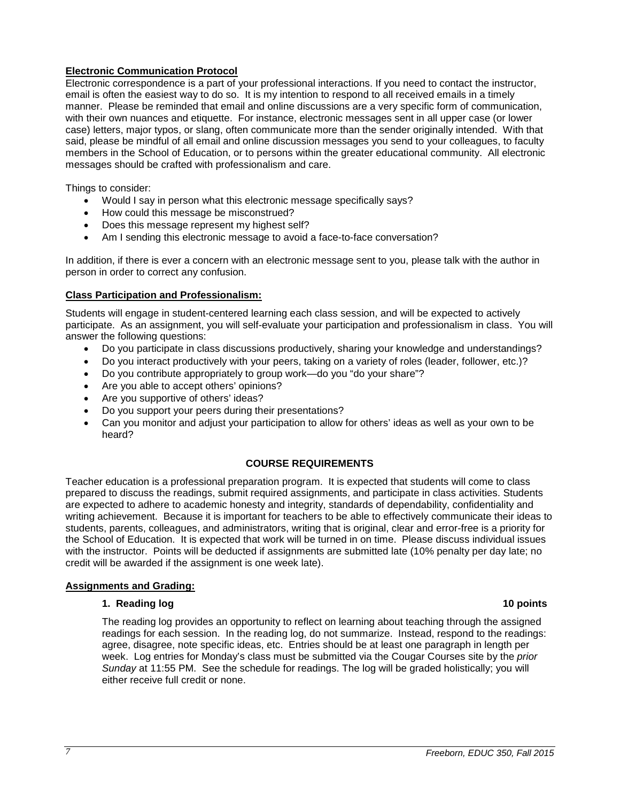# **Electronic Communication Protocol**

Electronic correspondence is a part of your professional interactions. If you need to contact the instructor, email is often the easiest way to do so. It is my intention to respond to all received emails in a timely manner. Please be reminded that email and online discussions are a very specific form of communication, with their own nuances and etiquette. For instance, electronic messages sent in all upper case (or lower case) letters, major typos, or slang, often communicate more than the sender originally intended. With that said, please be mindful of all email and online discussion messages you send to your colleagues, to faculty members in the School of Education, or to persons within the greater educational community. All electronic messages should be crafted with professionalism and care.

Things to consider:

- Would I say in person what this electronic message specifically says?
- How could this message be misconstrued?
- Does this message represent my highest self?
- Am I sending this electronic message to avoid a face-to-face conversation?

In addition, if there is ever a concern with an electronic message sent to you, please talk with the author in person in order to correct any confusion.

# <span id="page-6-0"></span>**Class Participation and Professionalism:**

Students will engage in student-centered learning each class session, and will be expected to actively participate. As an assignment, you will self-evaluate your participation and professionalism in class. You will answer the following questions:

- Do you participate in class discussions productively, sharing your knowledge and understandings?
- Do you interact productively with your peers, taking on a variety of roles (leader, follower, etc.)?
- Do you contribute appropriately to group work—do you "do your share"?
- Are you able to accept others' opinions?
- Are you supportive of others' ideas?
- Do you support your peers during their presentations?
- Can you monitor and adjust your participation to allow for others' ideas as well as your own to be heard?

### **COURSE REQUIREMENTS**

<span id="page-6-1"></span>Teacher education is a professional preparation program. It is expected that students will come to class prepared to discuss the readings, submit required assignments, and participate in class activities. Students are expected to adhere to academic honesty and integrity, standards of dependability, confidentiality and writing achievement. Because it is important for teachers to be able to effectively communicate their ideas to students, parents, colleagues, and administrators, writing that is original, clear and error-free is a priority for the School of Education. It is expected that work will be turned in on time. Please discuss individual issues with the instructor. Points will be deducted if assignments are submitted late (10% penalty per day late; no credit will be awarded if the assignment is one week late).

### <span id="page-6-3"></span><span id="page-6-2"></span>**Assignments and Grading:**

### **1. Reading log 10 points**

The reading log provides an opportunity to reflect on learning about teaching through the assigned readings for each session. In the reading log, do not summarize. Instead, respond to the readings: agree, disagree, note specific ideas, etc. Entries should be at least one paragraph in length per week. Log entries for Monday's class must be submitted via the Cougar Courses site by the *prior Sunday* at 11:55 PM. See the schedule for readings. The log will be graded holistically; you will either receive full credit or none.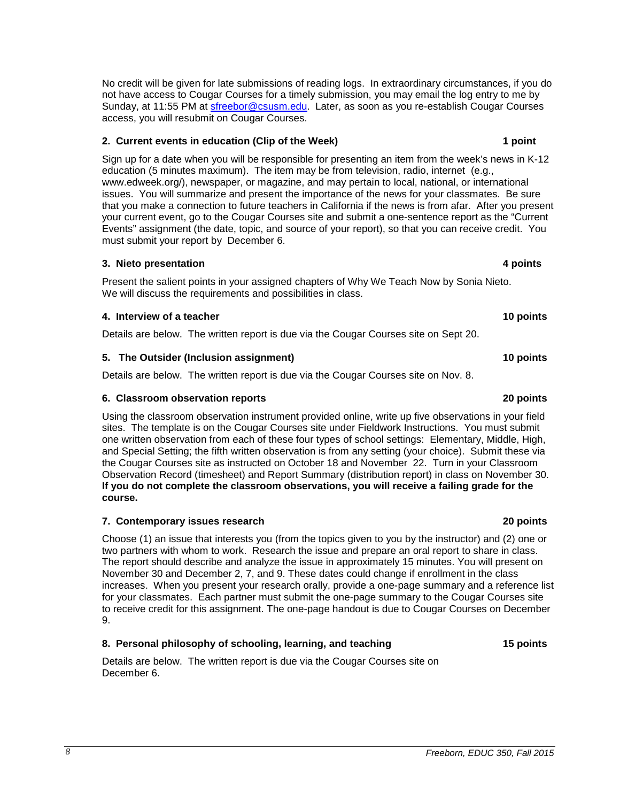No credit will be given for late submissions of reading logs. In extraordinary circumstances, if you do not have access to Cougar Courses for a timely submission, you may email the log entry to me by Sunday, at 11:55 PM at [sfreebor@csusm.edu.](mailto:mcdaniel@csusm.edu) Later, as soon as you re-establish Cougar Courses access, you will resubmit on Cougar Courses.

### <span id="page-7-0"></span>**2. Current events in education (Clip of the Week) 1 point**

Sign up for a date when you will be responsible for presenting an item from the week's news in K-12 education (5 minutes maximum). The item may be from television, radio, internet (e.g., www.edweek.org/), newspaper, or magazine, and may pertain to local, national, or international issues. You will summarize and present the importance of the news for your classmates. Be sure that you make a connection to future teachers in California if the news is from afar. After you present your current event, go to the Cougar Courses site and submit a one-sentence report as the "Current Events" assignment (the date, topic, and source of your report), so that you can receive credit. You must submit your report by December 6.

### <span id="page-7-1"></span>**3. Nieto presentation 4 points**

Present the salient points in your assigned chapters of Why We Teach Now by Sonia Nieto. We will discuss the requirements and possibilities in class.

### <span id="page-7-2"></span>**4. Interview of a teacher 10 points**

Details are below. The written report is due via the Cougar Courses site on Sept 20.

### <span id="page-7-3"></span>**5. The Outsider (Inclusion assignment) 10 points**

Details are below. The written report is due via the Cougar Courses site on Nov. 8.

### <span id="page-7-4"></span>**6. Classroom observation reports 20 points**

Using the classroom observation instrument provided online, write up five observations in your field sites. The template is on the Cougar Courses site under Fieldwork Instructions. You must submit one written observation from each of these four types of school settings: Elementary, Middle, High, and Special Setting; the fifth written observation is from any setting (your choice). Submit these via the Cougar Courses site as instructed on October 18 and November 22. Turn in your Classroom Observation Record (timesheet) and Report Summary (distribution report) in class on November 30. **If you do not complete the classroom observations, you will receive a failing grade for the course.** 

### <span id="page-7-5"></span>**7. Contemporary issues research 20 points**

Choose (1) an issue that interests you (from the topics given to you by the instructor) and (2) one or two partners with whom to work. Research the issue and prepare an oral report to share in class. The report should describe and analyze the issue in approximately 15 minutes. You will present on November 30 and December 2, 7, and 9. These dates could change if enrollment in the class increases. When you present your research orally, provide a one-page summary and a reference list for your classmates. Each partner must submit the one-page summary to the Cougar Courses site to receive credit for this assignment. The one-page handout is due to Cougar Courses on December 9.

### <span id="page-7-6"></span>**8. Personal philosophy of schooling, learning, and teaching 15 points**

Details are below. The written report is due via the Cougar Courses site on December 6.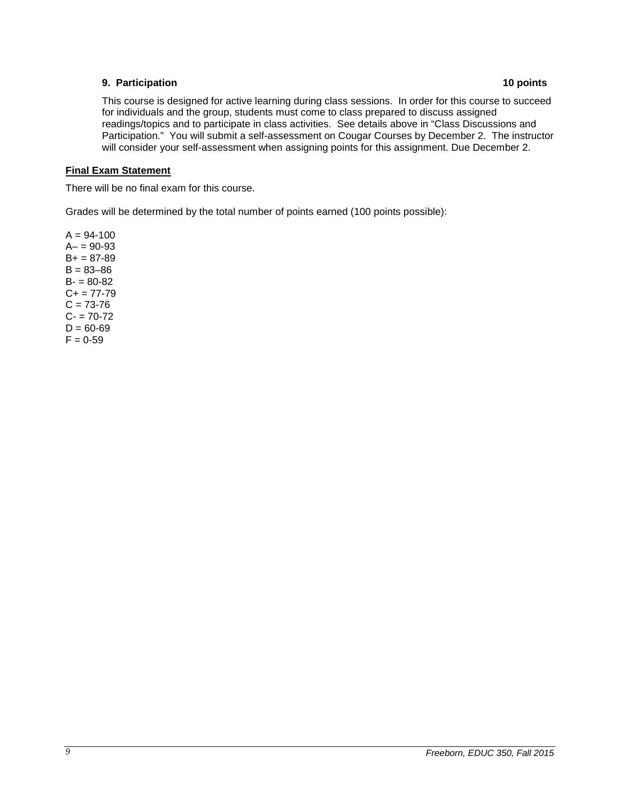# <span id="page-8-0"></span>**9. Participation 10 points**

This course is designed for active learning during class sessions. In order for this course to succeed for individuals and the group, students must come to class prepared to discuss assigned readings/topics and to participate in class activities. See details above in "Class Discussions and Participation." You will submit a self-assessment on Cougar Courses by December 2. The instructor will consider your self-assessment when assigning points for this assignment. Due December 2.

# <span id="page-8-1"></span>**Final Exam Statement**

There will be no final exam for this course.

Grades will be determined by the total number of points earned (100 points possible):

<span id="page-8-2"></span> $A = 94-100$  $A - 90 - 93$  $B+ = 87-89$  $B = 83 - 86$  $B = 80 - 82$  $C+= 77-79$  $C = 73-76$  $C - 70-72$  $D = 60 - 69$  $F = 0.59$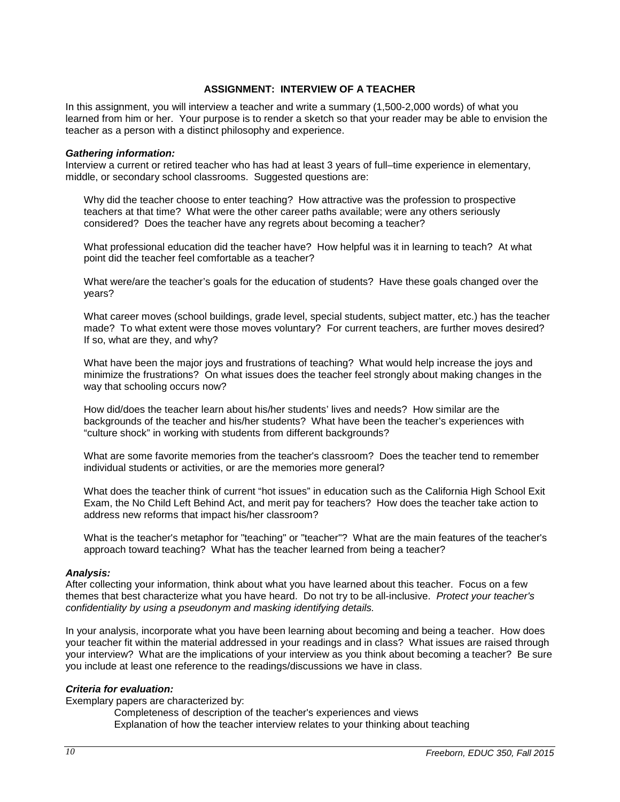### **ASSIGNMENT: INTERVIEW OF A TEACHER**

In this assignment, you will interview a teacher and write a summary (1,500-2,000 words) of what you learned from him or her. Your purpose is to render a sketch so that your reader may be able to envision the teacher as a person with a distinct philosophy and experience.

### *Gathering information:*

Interview a current or retired teacher who has had at least 3 years of full–time experience in elementary, middle, or secondary school classrooms. Suggested questions are:

Why did the teacher choose to enter teaching? How attractive was the profession to prospective teachers at that time? What were the other career paths available; were any others seriously considered? Does the teacher have any regrets about becoming a teacher?

What professional education did the teacher have? How helpful was it in learning to teach? At what point did the teacher feel comfortable as a teacher?

What were/are the teacher's goals for the education of students? Have these goals changed over the years?

What career moves (school buildings, grade level, special students, subject matter, etc.) has the teacher made? To what extent were those moves voluntary? For current teachers, are further moves desired? If so, what are they, and why?

What have been the major joys and frustrations of teaching? What would help increase the joys and minimize the frustrations? On what issues does the teacher feel strongly about making changes in the way that schooling occurs now?

How did/does the teacher learn about his/her students' lives and needs? How similar are the backgrounds of the teacher and his/her students? What have been the teacher's experiences with "culture shock" in working with students from different backgrounds?

What are some favorite memories from the teacher's classroom? Does the teacher tend to remember individual students or activities, or are the memories more general?

What does the teacher think of current "hot issues" in education such as the California High School Exit Exam, the No Child Left Behind Act, and merit pay for teachers? How does the teacher take action to address new reforms that impact his/her classroom?

What is the teacher's metaphor for "teaching" or "teacher"? What are the main features of the teacher's approach toward teaching? What has the teacher learned from being a teacher?

### *Analysis:*

After collecting your information, think about what you have learned about this teacher. Focus on a few themes that best characterize what you have heard. Do not try to be all-inclusive. *Protect your teacher's confidentiality by using a pseudonym and masking identifying details.*

In your analysis, incorporate what you have been learning about becoming and being a teacher. How does your teacher fit within the material addressed in your readings and in class? What issues are raised through your interview? What are the implications of your interview as you think about becoming a teacher? Be sure you include at least one reference to the readings/discussions we have in class.

### *Criteria for evaluation:*

Exemplary papers are characterized by:

Completeness of description of the teacher's experiences and views Explanation of how the teacher interview relates to your thinking about teaching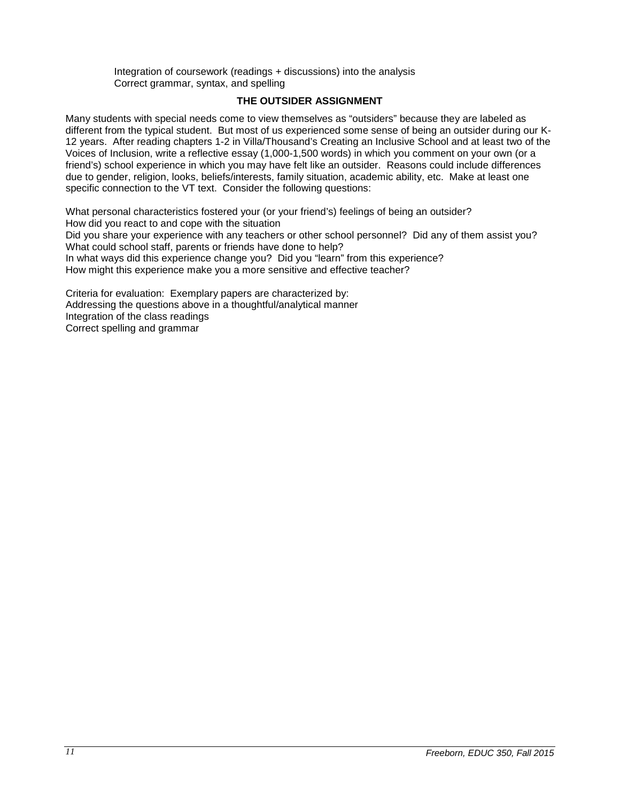Integration of coursework (readings + discussions) into the analysis Correct grammar, syntax, and spelling

### **THE OUTSIDER ASSIGNMENT**

<span id="page-10-0"></span>Many students with special needs come to view themselves as "outsiders" because they are labeled as different from the typical student. But most of us experienced some sense of being an outsider during our K-12 years. After reading chapters 1-2 in Villa/Thousand's Creating an Inclusive School and at least two of the Voices of Inclusion, write a reflective essay (1,000-1,500 words) in which you comment on your own (or a friend's) school experience in which you may have felt like an outsider. Reasons could include differences due to gender, religion, looks, beliefs/interests, family situation, academic ability, etc. Make at least one specific connection to the VT text. Consider the following questions:

What personal characteristics fostered your (or your friend's) feelings of being an outsider? How did you react to and cope with the situation Did you share your experience with any teachers or other school personnel? Did any of them assist you? What could school staff, parents or friends have done to help? In what ways did this experience change you? Did you "learn" from this experience? How might this experience make you a more sensitive and effective teacher?

Criteria for evaluation: Exemplary papers are characterized by: Addressing the questions above in a thoughtful/analytical manner Integration of the class readings Correct spelling and grammar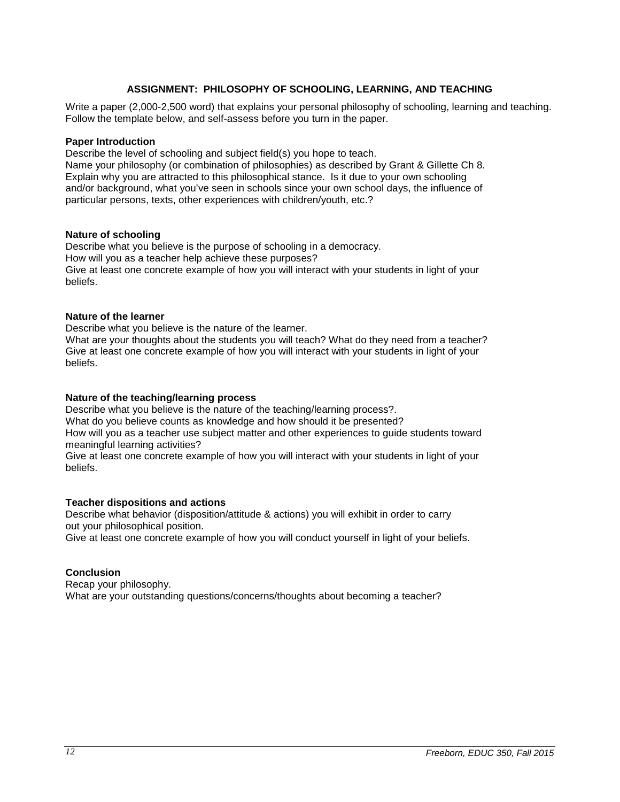# **ASSIGNMENT: PHILOSOPHY OF SCHOOLING, LEARNING, AND TEACHING**

<span id="page-11-0"></span>Write a paper (2,000-2,500 word) that explains your personal philosophy of schooling, learning and teaching. Follow the template below, and self-assess before you turn in the paper.

### **Paper Introduction**

Describe the level of schooling and subject field(s) you hope to teach.

Name your philosophy (or combination of philosophies) as described by Grant & Gillette Ch 8. Explain why you are attracted to this philosophical stance. Is it due to your own schooling and/or background, what you've seen in schools since your own school days, the influence of particular persons, texts, other experiences with children/youth, etc.?

### **Nature of schooling**

Describe what you believe is the purpose of schooling in a democracy. How will you as a teacher help achieve these purposes? Give at least one concrete example of how you will interact with your students in light of your beliefs.

### **Nature of the learner**

Describe what you believe is the nature of the learner.

What are your thoughts about the students you will teach? What do they need from a teacher? Give at least one concrete example of how you will interact with your students in light of your beliefs.

### **Nature of the teaching/learning process**

Describe what you believe is the nature of the teaching/learning process?. What do you believe counts as knowledge and how should it be presented? How will you as a teacher use subject matter and other experiences to guide students toward meaningful learning activities?

Give at least one concrete example of how you will interact with your students in light of your beliefs.

### **Teacher dispositions and actions**

Describe what behavior (disposition/attitude & actions) you will exhibit in order to carry out your philosophical position.

Give at least one concrete example of how you will conduct yourself in light of your beliefs.

### **Conclusion**

Recap your philosophy. What are your outstanding questions/concerns/thoughts about becoming a teacher?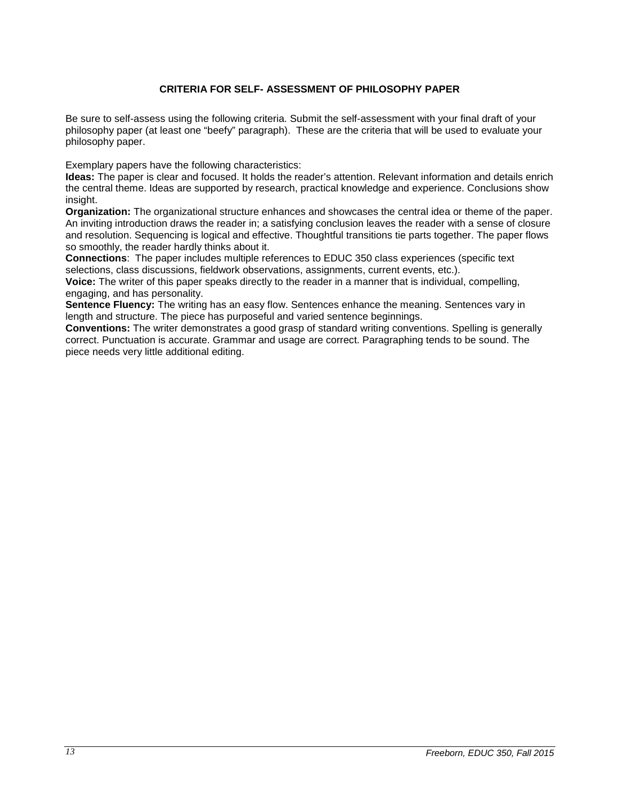# **CRITERIA FOR SELF- ASSESSMENT OF PHILOSOPHY PAPER**

<span id="page-12-0"></span>Be sure to self-assess using the following criteria. Submit the self-assessment with your final draft of your philosophy paper (at least one "beefy" paragraph). These are the criteria that will be used to evaluate your philosophy paper.

Exemplary papers have the following characteristics:

**Ideas:** The paper is clear and focused. It holds the reader's attention. Relevant information and details enrich the central theme. Ideas are supported by research, practical knowledge and experience. Conclusions show insight.

**Organization:** The organizational structure enhances and showcases the central idea or theme of the paper. An inviting introduction draws the reader in; a satisfying conclusion leaves the reader with a sense of closure and resolution. Sequencing is logical and effective. Thoughtful transitions tie parts together. The paper flows so smoothly, the reader hardly thinks about it.

**Connections**: The paper includes multiple references to EDUC 350 class experiences (specific text selections, class discussions, fieldwork observations, assignments, current events, etc.).

**Voice:** The writer of this paper speaks directly to the reader in a manner that is individual, compelling, engaging, and has personality.

**Sentence Fluency:** The writing has an easy flow. Sentences enhance the meaning. Sentences vary in length and structure. The piece has purposeful and varied sentence beginnings.

**Conventions:** The writer demonstrates a good grasp of standard writing conventions. Spelling is generally correct. Punctuation is accurate. Grammar and usage are correct. Paragraphing tends to be sound. The piece needs very little additional editing.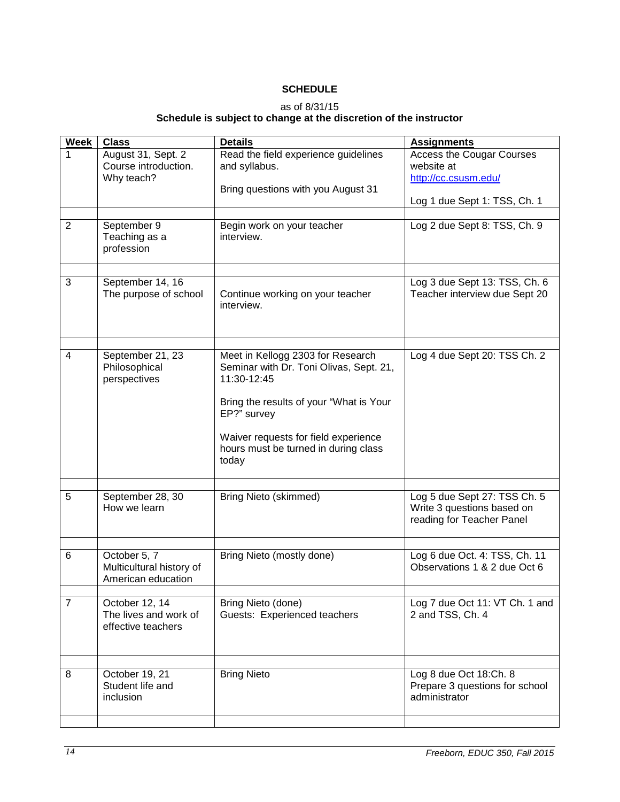# **SCHEDULE**

### as of 8/31/15

### **Schedule is subject to change at the discretion of the instructor**

<span id="page-13-0"></span>

| <b>Week</b>    | <b>Class</b>                                                   | <b>Details</b>                                                                                                                         | <b>Assignments</b>                                                                      |
|----------------|----------------------------------------------------------------|----------------------------------------------------------------------------------------------------------------------------------------|-----------------------------------------------------------------------------------------|
| 1              | August 31, Sept. 2<br>Course introduction.<br>Why teach?       | Read the field experience guidelines<br>and syllabus.<br>Bring questions with you August 31                                            | <b>Access the Cougar Courses</b><br>website at<br>http://cc.csusm.edu/                  |
|                |                                                                |                                                                                                                                        | Log 1 due Sept 1: TSS, Ch. 1                                                            |
| $\overline{2}$ | September 9<br>Teaching as a<br>profession                     | Begin work on your teacher<br>interview.                                                                                               | Log 2 due Sept 8: TSS, Ch. 9                                                            |
|                |                                                                |                                                                                                                                        |                                                                                         |
| 3              | September 14, 16<br>The purpose of school                      | Continue working on your teacher<br>interview.                                                                                         | Log 3 due Sept 13: TSS, Ch. 6<br>Teacher interview due Sept 20                          |
|                |                                                                |                                                                                                                                        |                                                                                         |
| 4              | September 21, 23<br>Philosophical<br>perspectives              | Meet in Kellogg 2303 for Research<br>Seminar with Dr. Toni Olivas, Sept. 21,<br>11:30-12:45<br>Bring the results of your "What is Your | Log 4 due Sept 20: TSS Ch. 2                                                            |
|                |                                                                | EP?" survey<br>Waiver requests for field experience<br>hours must be turned in during class                                            |                                                                                         |
|                |                                                                | today                                                                                                                                  |                                                                                         |
|                |                                                                |                                                                                                                                        |                                                                                         |
| 5              | September 28, 30<br>How we learn                               | <b>Bring Nieto (skimmed)</b>                                                                                                           | Log 5 due Sept 27: TSS Ch. 5<br>Write 3 questions based on<br>reading for Teacher Panel |
|                |                                                                |                                                                                                                                        |                                                                                         |
| 6              | October 5, 7<br>Multicultural history of<br>American education | Bring Nieto (mostly done)                                                                                                              | Log 6 due Oct. 4: TSS, Ch. 11<br>Observations 1 & 2 due Oct 6                           |
|                |                                                                |                                                                                                                                        |                                                                                         |
| $\overline{7}$ | October 12, 14<br>The lives and work of<br>effective teachers  | Bring Nieto (done)<br>Guests: Experienced teachers                                                                                     | Log 7 due Oct 11: VT Ch. 1 and<br>2 and TSS, Ch. 4                                      |
|                |                                                                |                                                                                                                                        |                                                                                         |
| 8              | October 19, 21<br>Student life and<br>inclusion                | <b>Bring Nieto</b>                                                                                                                     | Log 8 due Oct 18:Ch. 8<br>Prepare 3 questions for school<br>administrator               |
|                |                                                                |                                                                                                                                        |                                                                                         |